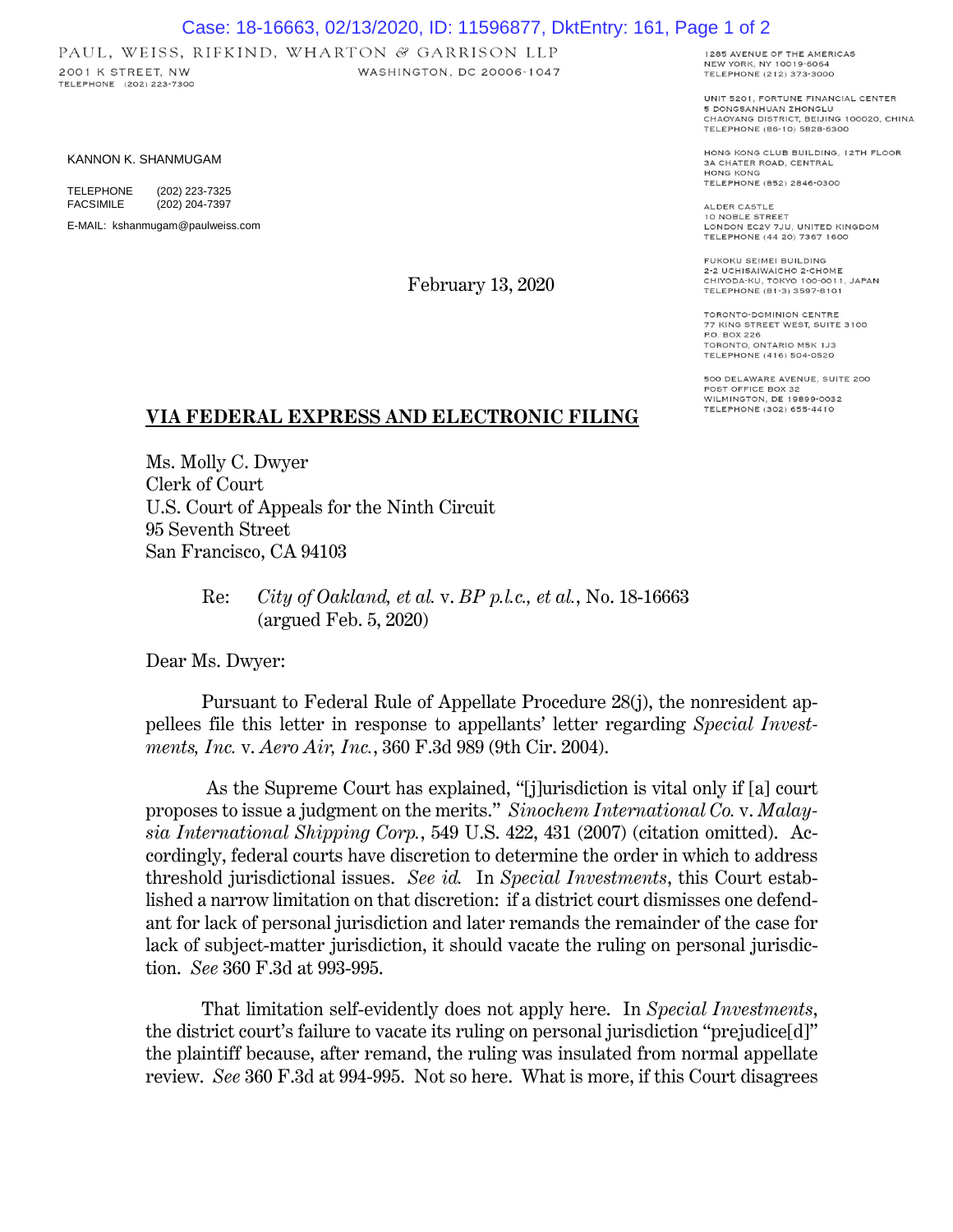## Case: 18-16663, 02/13/2020, ID: 11596877, DktEntry: 161, Page 1 of 2

WASHINGTON, DC 20006-1047

PAUL, WEISS, RIFKIND, WHARTON & GARRISON LLP 2001 K STREET, NW TELEPHONE (202) 223-7300

KANNON K. SHANMUGAM

TELEPHONE (202) 223-7325<br>FACSIMILE (202) 204-7397 (202) 204-7397

E-MAIL: kshanmugam@paulweiss.com

February 13, 2020

1285 AVENUE OF THE AMERICAS NEW YORK, NY 10019-6064 TELEPHONE (212) 373-3000

UNIT 5201. FORTUNE FINANCIAL CENTER 5 DONGSANHUAN ZHONGLU CHAOYANG DISTRICT, BEIJING 100020, CHINA TELEPHONE (86-10) 5828-6300

HONG KONG CLUB BUILDING, 12TH FLOOR 3A CHATER ROAD, CENTRAL HONG KONG TELEPHONE (852) 2846-0300

ALDER CASTLE 10 NOBLE STREET<br>LONDON EC2V 7JU, UNITED KINGDOM TELEPHONE (44 20) 7367 1600

FUKOKU SEIMEI BUILDING 2-2 UCHISAIWAICHO 2-CHOME<br>CHIYODA-KU, TOKYO 100-0011, JAPAN TELEPHONE (81-3) 3597-8101

TORONTO-DOMINION CENTRE 77 KING STREET WEST, SUITE 3100 P.O. BOX 226 TORONTO, ONTARIO M5K 1J3 TELEPHONE (416) 504-0520

500 DELAWARE AVENUE, SUITE 200 POST OFFICE BOX 32<br>WILMINGTON, DE 19899-0032 TELEPHONE (302) 655-4410

## **VIA FEDERAL EXPRESS AND ELECTRONIC FILING**

Ms. Molly C. Dwyer Clerk of Court U.S. Court of Appeals for the Ninth Circuit 95 Seventh Street San Francisco, CA 94103

> Re: *City of Oakland, et al.* v. *BP p.l.c., et al.*, No. 18-16663 (argued Feb. 5, 2020)

Dear Ms. Dwyer:

Pursuant to Federal Rule of Appellate Procedure 28(j), the nonresident appellees file this letter in response to appellants' letter regarding *Special Investments, Inc.* v. *Aero Air, Inc.*, 360 F.3d 989 (9th Cir. 2004).

As the Supreme Court has explained, "[j]urisdiction is vital only if [a] court proposes to issue a judgment on the merits." *Sinochem International Co.* v. *Malaysia International Shipping Corp.*, 549 U.S. 422, 431 (2007) (citation omitted). Accordingly, federal courts have discretion to determine the order in which to address threshold jurisdictional issues. *See id.* In *Special Investments*, this Court established a narrow limitation on that discretion: if a district court dismisses one defendant for lack of personal jurisdiction and later remands the remainder of the case for lack of subject-matter jurisdiction, it should vacate the ruling on personal jurisdiction. *See* 360 F.3d at 993-995.

That limitation self-evidently does not apply here. In *Special Investments*, the district court's failure to vacate its ruling on personal jurisdiction "prejudice[d]" the plaintiff because, after remand, the ruling was insulated from normal appellate review. *See* 360 F.3d at 994-995. Not so here. What is more, if this Court disagrees